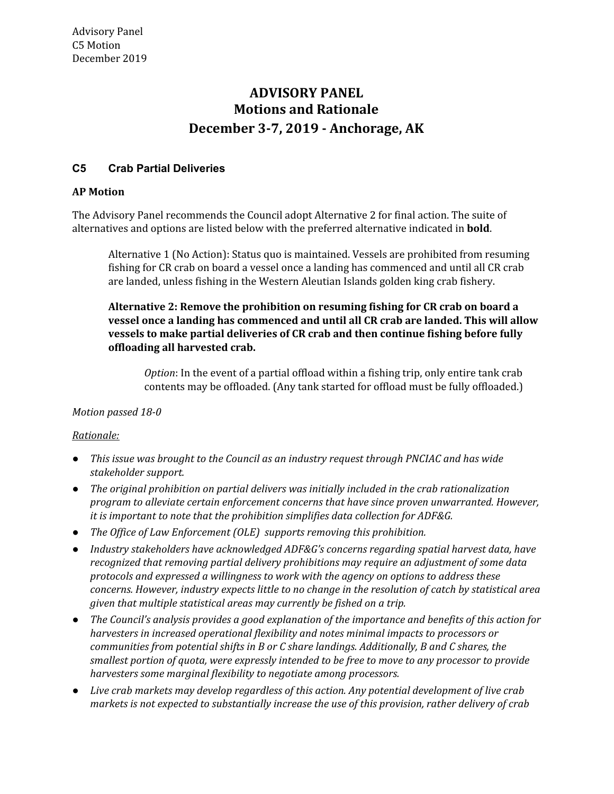# **Motions and Rationale December 3-7, 2019 - Anchorage, AK ADVISORY PANEL**

## **C5 Crab Partial Deliveries**

#### **AP Motion**

 The Advisory Panel recommends the Council adopt Alternative 2 for final action. The suite of alternatives and options are listed below with the preferred alternative indicated in **bold**.

 Alternative 1 (No Action): Status quo is maintained. Vessels are prohibited from resuming fishing for CR crab on board a vessel once a landing has commenced and until all CR crab are landed, unless fishing in the Western Aleutian Islands golden king crab fishery.

 **Alternative 2: Remove the prohibition on resuming fishing for CR crab on board a vessel once a landing has commenced and until all CR crab are landed. This will allow vessels to make partial deliveries of CR crab and then continue fishing before fully offloading all harvested crab.**

 *Option*: In the event of a partial offload within a fishing trip, only entire tank crab contents may be offloaded. (Any tank started for offload must be fully offloaded.)

### *Motion passed 18-0*

#### *Rationale:*

- *● This issue was brought to the Council as an industry request through PNCIAC and has wide stakeholder support.*
- *● The original prohibition on partial delivers was initially included in the crab rationalization program to alleviate certain enforcement concerns that have since proven unwarranted. However, it is important to note that the prohibition simplifies data collection for ADF&G.*
- *● The Office of Law Enforcement (OLE) supports removing this prohibition.*
- *● Industry stakeholders have acknowledged ADF&G's concerns regarding spatial harvest data, have recognized that removing partial delivery prohibitions may require an adjustment of some data protocols and expressed a willingness to work with the agency on options to address these concerns. However, industry expects little to no change in the resolution of catch by statistical area given that multiple statistical areas may currently be fished on a trip.*
- The Council's analysis provides a good explanation of the importance and benefits of this action for  *harvesters in increased operational flexibility and notes minimal impacts to processors or communities from potential shifts in B or C share landings. Additionally, B and C shares, the* smallest portion of quota, were expressly intended to be free to move to any processor to provide  *harvesters some marginal flexibility to negotiate among processors.*
- *● Live crab markets may develop regardless of this action. Any potential development of live crab markets is not expected to substantially increase the use of this provision, rather delivery of crab*